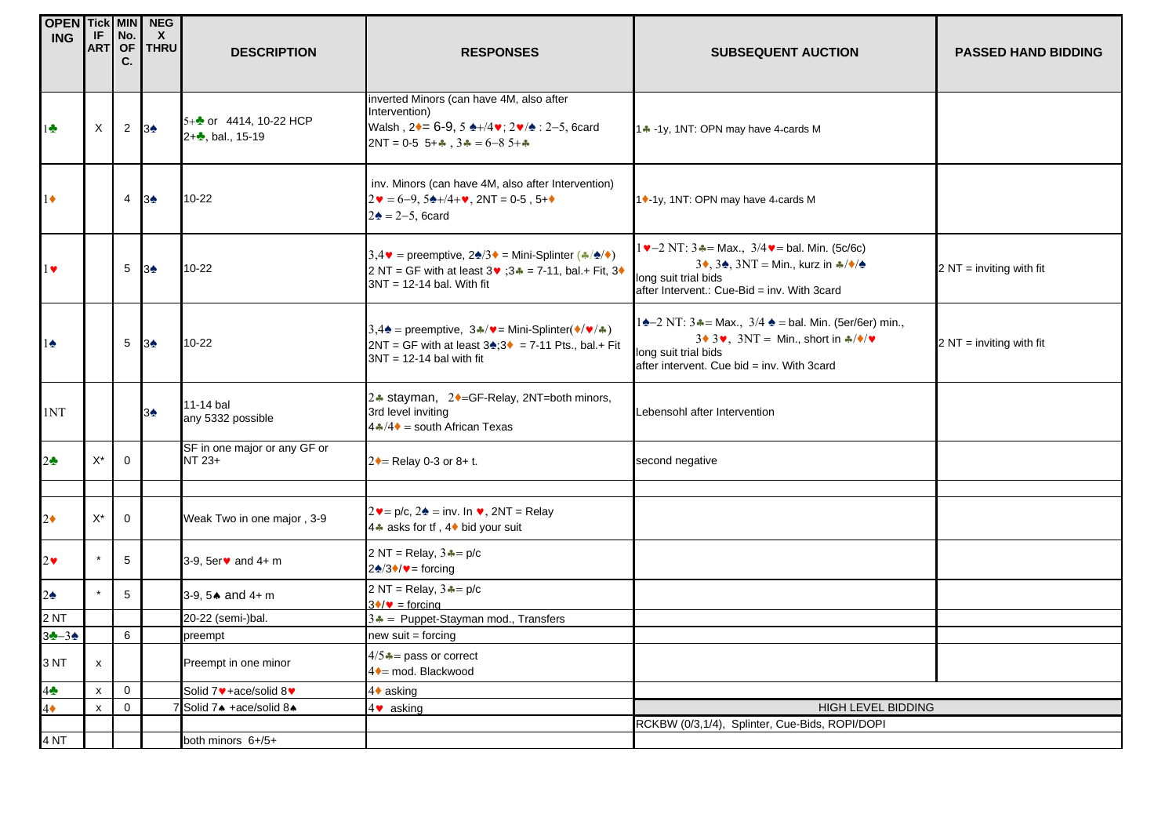| <b>OPEN Tick MIN</b>             |                                                        |                  | <b>NEG</b>                  |                                                                  |                                                                                                                                                    |                                                                                                                                              |                            |
|----------------------------------|--------------------------------------------------------|------------------|-----------------------------|------------------------------------------------------------------|----------------------------------------------------------------------------------------------------------------------------------------------------|----------------------------------------------------------------------------------------------------------------------------------------------|----------------------------|
| <b>ING</b>                       |                                                        | $IF$ No.         | $\mathsf{X}$<br>ART OF THRU | <b>DESCRIPTION</b>                                               | <b>RESPONSES</b>                                                                                                                                   | <b>SUBSEQUENT AUCTION</b>                                                                                                                    | <b>PASSED HAND BIDDING</b> |
|                                  |                                                        | C.               |                             |                                                                  |                                                                                                                                                    |                                                                                                                                              |                            |
|                                  |                                                        |                  |                             |                                                                  | inverted Minors (can have 4M, also after                                                                                                           |                                                                                                                                              |                            |
|                                  |                                                        |                  |                             |                                                                  | Intervention)                                                                                                                                      |                                                                                                                                              |                            |
| $1 -$                            | X                                                      | $2 \overline{3}$ |                             | 5+ $\bullet$ or 4414, 10-22 HCP<br>2+ <sup>2</sup> , bal., 15-19 | Walsh, 2♦ = 6-9, 5 ♦ +/4♥; 2♥/◆: 2-5, 6card                                                                                                        | 14 -1y, 1NT: OPN may have 4+cards M                                                                                                          |                            |
|                                  |                                                        |                  |                             |                                                                  | 2NT = 0-5 $5 + 4$ , $34 = 6 - 85 + 4$                                                                                                              |                                                                                                                                              |                            |
|                                  |                                                        |                  |                             |                                                                  | inv. Minors (can have 4M, also after Intervention)                                                                                                 |                                                                                                                                              |                            |
| $1\bullet$                       |                                                        | 4                | 3♠                          | $10 - 22$                                                        | $2\mathbf{v} = 6-9, 5\mathbf{\&}+/4+\mathbf{v}, 2NT = 0.5, 5+\mathbf{\&}$                                                                          | 1♦-1y, 1NT: OPN may have 4+cards M                                                                                                           |                            |
|                                  |                                                        |                  |                             |                                                                  | $2\spadesuit$ = 2-5, 6 card                                                                                                                        |                                                                                                                                              |                            |
|                                  |                                                        |                  |                             |                                                                  | $3,4 \cdot \bullet$ = preemptive, $2\cdot 3 \cdot \bullet$ = Mini-Splinter (*/ $\cdot \bullet$ / $\bullet$ )                                       | $1 \vee -2 N$ T: $3 \triangle =$ Max., $3/4 \vee =$ bal. Min. (5c/6c)                                                                        |                            |
| $1 \vee$                         |                                                        | 5                | 3 <sub>2</sub>              | $10-22$                                                          | 2 NT = GF with at least 3♥ ;3♣ = 7-11, bal.+ Fit, 3♦                                                                                               | 3, 3, 3, 3NT = Min., kurz in $\frac{1}{2}$ / $\sqrt[4]{2}$                                                                                   | $2 NT =$ inviting with fit |
|                                  |                                                        |                  |                             |                                                                  | $3NT = 12-14$ bal. With fit                                                                                                                        | long suit trial bids<br>after Intervent.: Cue-Bid = inv. With 3card                                                                          |                            |
|                                  |                                                        |                  |                             |                                                                  |                                                                                                                                                    |                                                                                                                                              |                            |
|                                  |                                                        |                  |                             |                                                                  | 3,4 <sup><math>\triangle</math></sup> = preemptive, 3 $\triangle$ / $\triangledown$ = Mini-Splinter( $\triangle$ / $\triangledown$ / $\triangle$ ) | 14-2 NT: $3 - 14$ Max., $3/4 - 14 = 5$ Min. (5er/6er) min.,<br>$3 \cdot 3 \cdot 3$ , $3NT = Min.$ , short in $\frac{2}{3} \cdot \frac{1}{2}$ |                            |
| $1\spadesuit$                    |                                                        | 5                | $3*$                        | $10 - 22$                                                        | $2NT = GF$ with at least $3$ <del>Δ</del> ; $3$ = 7-11 Pts., bal.+ Fit<br>$3NT = 12-14$ bal with fit                                               | long suit trial bids                                                                                                                         | $2 NT =$ inviting with fit |
|                                  |                                                        |                  |                             |                                                                  |                                                                                                                                                    | after intervent. Cue bid = inv. With 3card                                                                                                   |                            |
|                                  |                                                        |                  |                             | 11-14 bal                                                        | 2. stayman, 2. eGF-Relay, 2NT=both minors,                                                                                                         |                                                                                                                                              |                            |
| 1NT                              |                                                        |                  | $3\spadesuit$               | any 5332 possible                                                | 3rd level inviting<br>$4 \cdot 4 \cdot 4 =$ south African Texas                                                                                    | Lebensohl after Intervention                                                                                                                 |                            |
|                                  |                                                        |                  |                             |                                                                  |                                                                                                                                                    |                                                                                                                                              |                            |
| $2\clubsuit$                     | $X^*$                                                  | $\mathbf 0$      |                             | SF in one major or any GF or<br>NT 23+                           | $2 \rightarrow$ Relay 0-3 or 8+ t.                                                                                                                 | second negative                                                                                                                              |                            |
|                                  |                                                        |                  |                             |                                                                  |                                                                                                                                                    |                                                                                                                                              |                            |
|                                  |                                                        |                  |                             |                                                                  |                                                                                                                                                    |                                                                                                                                              |                            |
| $2\blacklozenge$                 | $X^*$                                                  | $\mathbf 0$      |                             | Weak Two in one major, 3-9                                       | $2 \cdot = p/c$ , $2 \cdot = inv$ . In $\cdot$ , $2NT = Relay$<br>4. asks for tf, 4♦ bid your suit                                                 |                                                                                                                                              |                            |
|                                  |                                                        |                  |                             |                                                                  |                                                                                                                                                    |                                                                                                                                              |                            |
| $2\bullet$                       |                                                        | 5                |                             | 3-9, $5er$ and $4+ m$                                            | 2 NT = Relay, $3 - p/c$<br>$2\spadesuit/3\spadesuit/\spadesuit$ = forcing                                                                          |                                                                                                                                              |                            |
|                                  |                                                        |                  |                             |                                                                  | 2 NT = Relay, $3 - p/c$                                                                                                                            |                                                                                                                                              |                            |
| $2\spadesuit$                    | $\star$                                                | $5\phantom{.0}$  |                             | 3-9, $5 \triangle 3$ and $4 + m$                                 | $3\blacklozenge/\blacktriangledown$ = forcing                                                                                                      |                                                                                                                                              |                            |
| 2NT                              |                                                        |                  |                             | 20-22 (semi-)bal.                                                | $3 - $ Puppet-Stayman mod., Transfers                                                                                                              |                                                                                                                                              |                            |
| $3 - 34$                         |                                                        | 6                |                             | preempt                                                          | new suit = forcing                                                                                                                                 |                                                                                                                                              |                            |
| 3 NT                             | $\mathsf{x}$                                           |                  |                             | Preempt in one minor                                             | $4/5$ $\clubsuit$ = pass or correct                                                                                                                |                                                                                                                                              |                            |
|                                  |                                                        | $\mathbf 0$      |                             |                                                                  | 4 • mod. Blackwood                                                                                                                                 |                                                                                                                                              |                            |
| $4\clubsuit$<br>$4\blacklozenge$ | $\boldsymbol{\mathsf{x}}$<br>$\boldsymbol{\mathsf{x}}$ | $\mathbf 0$      |                             | Solid 7♥+ace/solid 8♥<br>Solid 7+ +ace/solid 8+                  | 4♦ asking<br>4♥ asking                                                                                                                             | HIGH LEVEL BIDDING                                                                                                                           |                            |
|                                  |                                                        |                  |                             |                                                                  |                                                                                                                                                    | RCKBW (0/3,1/4), Splinter, Cue-Bids, ROPI/DOPI                                                                                               |                            |
| 4 <sub>NT</sub>                  |                                                        |                  |                             | both minors 6+/5+                                                |                                                                                                                                                    |                                                                                                                                              |                            |